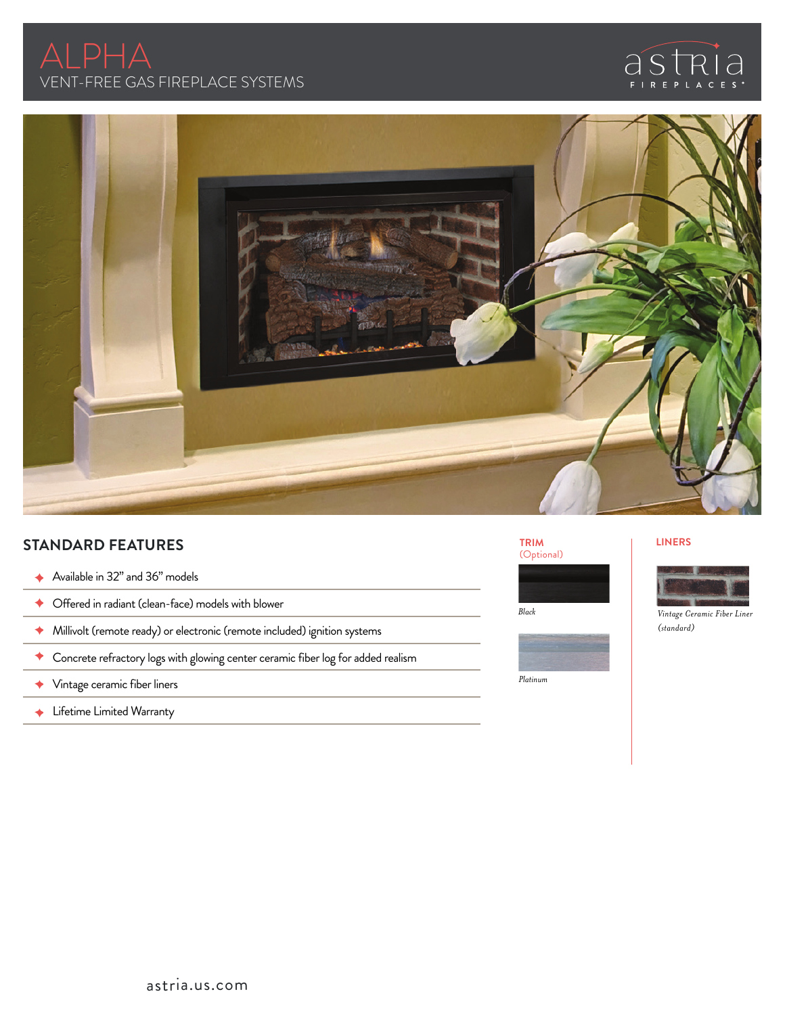





# **STANDARD FEATURES**

- ◆ Available in 32" and 36" models
- Offered in radiant (clean-face) models with blower
- Millivolt (remote ready) or electronic (remote included) ignition systems
- Concrete refractory logs with glowing center ceramic fiber log for added realism
- Vintage ceramic fiber liners
- ← Lifetime Limited Warranty







### **LINERS**



*Black Vintage Ceramic Fiber Liner (standard)*